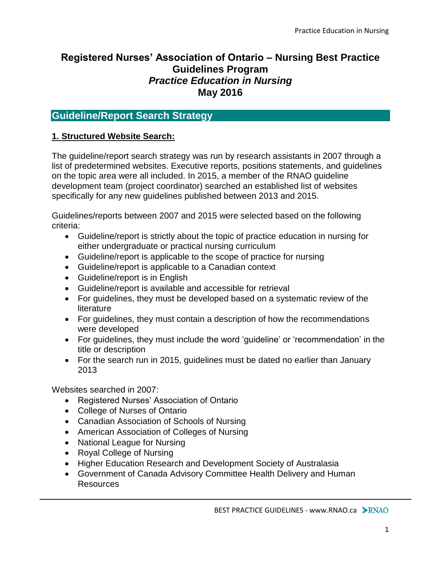# **Registered Nurses' Association of Ontario – Nursing Best Practice Guidelines Program** *Practice Education in Nursing* **May 2016**

# **Guideline/Report Search Strategy**

## **1. Structured Website Search:**

The guideline/report search strategy was run by research assistants in 2007 through a list of predetermined websites. Executive reports, positions statements, and guidelines on the topic area were all included. In 2015, a member of the RNAO guideline development team (project coordinator) searched an established list of websites specifically for any new guidelines published between 2013 and 2015.

Guidelines/reports between 2007 and 2015 were selected based on the following criteria:

- Guideline/report is strictly about the topic of practice education in nursing for either undergraduate or practical nursing curriculum
- Guideline/report is applicable to the scope of practice for nursing
- Guideline/report is applicable to a Canadian context
- Guideline/report is in English
- Guideline/report is available and accessible for retrieval
- For guidelines, they must be developed based on a systematic review of the literature
- For guidelines, they must contain a description of how the recommendations were developed
- For guidelines, they must include the word 'guideline' or 'recommendation' in the title or description
- For the search run in 2015, guidelines must be dated no earlier than January 2013

Websites searched in 2007:

- Registered Nurses' Association of Ontario
- College of Nurses of Ontario
- Canadian Association of Schools of Nursing
- American Association of Colleges of Nursing
- National League for Nursing
- Royal College of Nursing
- Higher Education Research and Development Society of Australasia
- Government of Canada Advisory Committee Health Delivery and Human **Resources**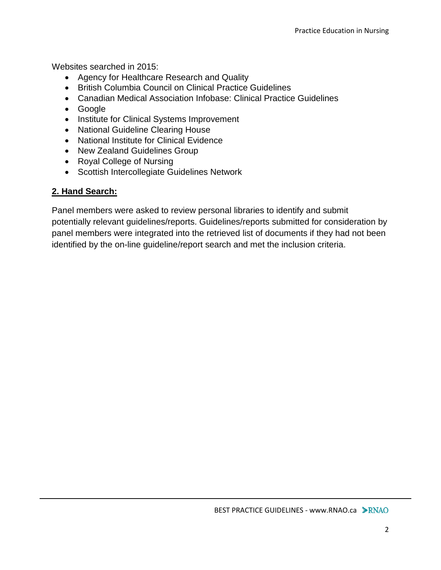Websites searched in 2015:

- Agency for Healthcare Research and Quality
- British Columbia Council on Clinical Practice Guidelines
- Canadian Medical Association Infobase: Clinical Practice Guidelines
- Google
- Institute for Clinical Systems Improvement
- National Guideline Clearing House
- National Institute for Clinical Evidence
- New Zealand Guidelines Group
- Royal College of Nursing
- Scottish Intercollegiate Guidelines Network

# **2. Hand Search:**

Panel members were asked to review personal libraries to identify and submit potentially relevant guidelines/reports. Guidelines/reports submitted for consideration by panel members were integrated into the retrieved list of documents if they had not been identified by the on-line guideline/report search and met the inclusion criteria.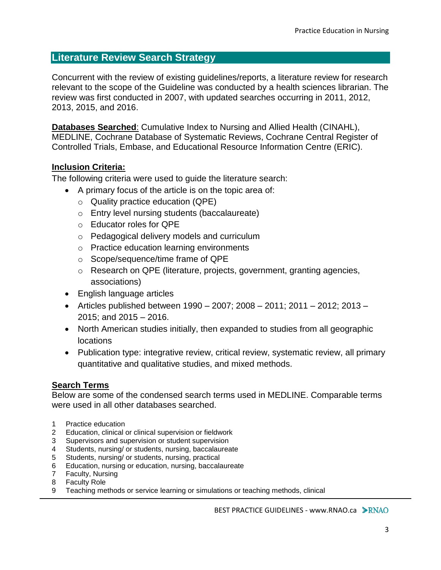# **Literature Review Search Strategy**

Concurrent with the review of existing guidelines/reports, a literature review for research relevant to the scope of the Guideline was conducted by a health sciences librarian. The review was first conducted in 2007, with updated searches occurring in 2011, 2012, 2013, 2015, and 2016.

**Databases Searched**: Cumulative Index to Nursing and Allied Health (CINAHL), MEDLINE, Cochrane Database of Systematic Reviews, Cochrane Central Register of Controlled Trials, Embase, and Educational Resource Information Centre (ERIC).

#### **Inclusion Criteria:**

The following criteria were used to guide the literature search:

- A primary focus of the article is on the topic area of:
	- o Quality practice education (QPE)
	- o Entry level nursing students (baccalaureate)
	- o Educator roles for QPE
	- o Pedagogical delivery models and curriculum
	- o Practice education learning environments
	- o Scope/sequence/time frame of QPE
	- o Research on QPE (literature, projects, government, granting agencies, associations)
- English language articles
- Articles published between  $1990 2007$ ;  $2008 2011$ ;  $2011 2012$ ;  $2013 -$ 2015; and 2015 – 2016.
- North American studies initially, then expanded to studies from all geographic locations
- Publication type: integrative review, critical review, systematic review, all primary quantitative and qualitative studies, and mixed methods.

## **Search Terms**

Below are some of the condensed search terms used in MEDLINE. Comparable terms were used in all other databases searched.

- 1 Practice education
- 2 Education, clinical or clinical supervision or fieldwork
- 3 Supervisors and supervision or student supervision
- 4 Students, nursing/ or students, nursing, baccalaureate
- 5 Students, nursing/ or students, nursing, practical
- 6 Education, nursing or education, nursing, baccalaureate
- 7 Faculty, Nursing
- 8 Faculty Role
- 9 Teaching methods or service learning or simulations or teaching methods, clinical

BEST PRACTICE GUIDELINES - www.RNAO.ca > RNAO